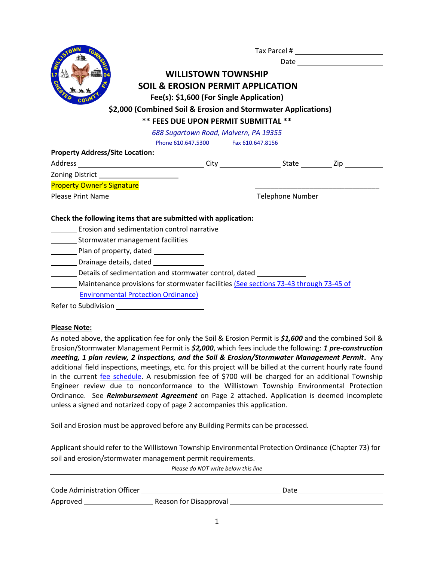

Tax Parcel #

Date

# **WILLISTOWN TOWNSHIP SOIL & EROSION PERMIT APPLICATION Fee(s): \$1,600 (For Single Application)**

### **\$2,000 (Combined Soil & Erosion and Stormwater Applications)**

## **\*\* FEES DUE UPON PERMIT SUBMITTAL \*\***

*688 Sugartown Road, Malvern, PA 19355*

Phone 610.647.5300 Fax 610.647.8156

**Property Address/Site Location:**

| Address                           | Citv             | State | Zip |
|-----------------------------------|------------------|-------|-----|
| <b>Zoning District</b>            |                  |       |     |
| <b>Property Owner's Signature</b> |                  |       |     |
| Please Print Name                 | Telephone Number |       |     |

#### **Check the following items that are submitted with application:**

- Erosion and sedimentation control narrative
- \_\_\_\_\_\_\_\_\_\_ Stormwater management facilities
- Plan of property, dated
- Drainage details, dated
- Details of sedimentation and stormwater control, dated
- Maintenance provisions for stormwater facilities [\(See sections 73-43 through 73-45 of](https://ecode360.com/11711825)
	- [Environmental Protection Ordinance\)](https://ecode360.com/11711825)

#### **Please Note:**

As noted above, the application fee for only the Soil & Erosion Permit is *\$1,600* and the combined Soil & Erosion/Stormwater Management Permit is *\$2,000*, which fees include the following: *1 pre-construction meeting, 1 plan review, 2 inspections, and the Soil & Erosion/Stormwater Management Permit***.** Any additional field inspections, meetings, etc. for this project will be billed at the current hourly rate found in the current [fee schedule.](https://www.willistown.pa.us/ArchiveCenter/ViewFile/Item/1291) A resubmission fee of \$700 will be charged for an additional Township Engineer review due to nonconformance to the Willistown Township Environmental Protection Ordinance. See *Reimbursement Agreement* on Page 2 attached. Application is deemed incomplete unless a signed and notarized copy of page 2 accompanies this application.

Soil and Erosion must be approved before any Building Permits can be processed.

Applicant should refer to the Willistown Township Environmental Protection Ordinance (Chapter 73) for soil and erosion/stormwater management permit requirements.

*Please do NOT write below this line*

| Code Administration Officer |                        | Date |
|-----------------------------|------------------------|------|
| Approved                    | Reason for Disapproval |      |